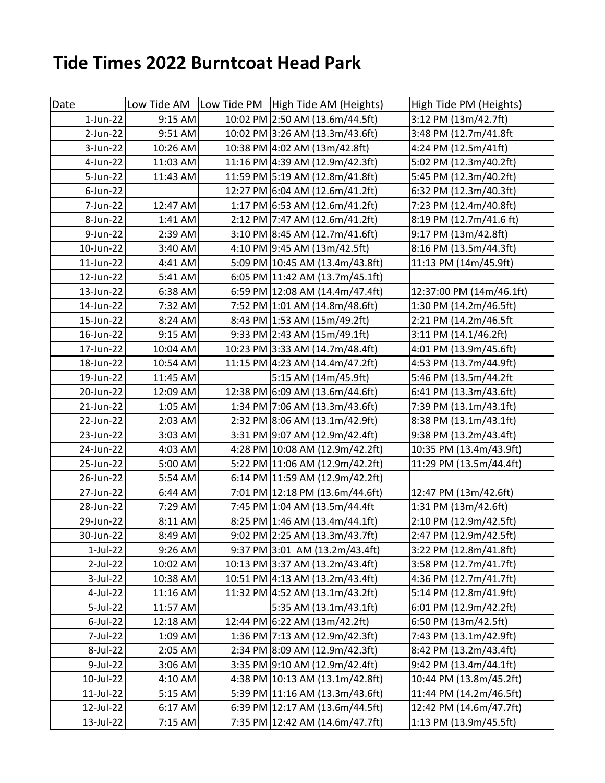## **Tide Times 2022 Burntcoat Head Park**

| Date        | Low Tide AM | Low Tide PM   High Tide AM (Heights) | High Tide PM (Heights)   |
|-------------|-------------|--------------------------------------|--------------------------|
| 1-Jun-22    | 9:15 AM     | 10:02 PM 2:50 AM (13.6m/44.5ft)      | 3:12 PM (13m/42.7ft)     |
| 2-Jun-22    | 9:51 AM     | 10:02 PM 3:26 AM (13.3m/43.6ft)      | 3:48 PM (12.7m/41.8ft    |
| 3-Jun-22    | 10:26 AM    | 10:38 PM 4:02 AM (13m/42.8ft)        | 4:24 PM (12.5m/41ft)     |
| 4-Jun-22    | 11:03 AM    | 11:16 PM 4:39 AM (12.9m/42.3ft)      | 5:02 PM (12.3m/40.2ft)   |
| 5-Jun-22    | 11:43 AM    | 11:59 PM 5:19 AM (12.8m/41.8ft)      | 5:45 PM (12.3m/40.2ft)   |
| 6-Jun-22    |             | 12:27 PM 6:04 AM (12.6m/41.2ft)      | 6:32 PM (12.3m/40.3ft)   |
| 7-Jun-22    | 12:47 AM    | 1:17 PM 6:53 AM (12.6m/41.2ft)       | 7:23 PM (12.4m/40.8ft)   |
| 8-Jun-22    | 1:41 AM     | 2:12 PM 7:47 AM (12.6m/41.2ft)       | 8:19 PM (12.7m/41.6 ft)  |
| 9-Jun-22    | 2:39 AM     | 3:10 PM 8:45 AM (12.7m/41.6ft)       | 9:17 PM (13m/42.8ft)     |
| 10-Jun-22   | 3:40 AM     | 4:10 PM 9:45 AM (13m/42.5ft)         | 8:16 PM (13.5m/44.3ft)   |
| 11-Jun-22   | 4:41 AM     | 5:09 PM 10:45 AM (13.4m/43.8ft)      | 11:13 PM (14m/45.9ft)    |
| 12-Jun-22   | 5:41 AM     | 6:05 PM 11:42 AM (13.7m/45.1ft)      |                          |
| 13-Jun-22   | 6:38 AM     | 6:59 PM 12:08 AM (14.4m/47.4ft)      | 12:37:00 PM (14m/46.1ft) |
| 14-Jun-22   | 7:32 AM     | 7:52 PM 1:01 AM (14.8m/48.6ft)       | 1:30 PM (14.2m/46.5ft)   |
| 15-Jun-22   | 8:24 AM     | 8:43 PM 1:53 AM (15m/49.2ft)         | 2:21 PM (14.2m/46.5ft    |
| 16-Jun-22   | 9:15 AM     | 9:33 PM 2:43 AM (15m/49.1ft)         | 3:11 PM (14.1/46.2ft)    |
| 17-Jun-22   | 10:04 AM    | 10:23 PM 3:33 AM (14.7m/48.4ft)      | 4:01 PM (13.9m/45.6ft)   |
| 18-Jun-22   | 10:54 AM    | 11:15 PM 4:23 AM (14.4m/47.2ft)      | 4:53 PM (13.7m/44.9ft)   |
| 19-Jun-22   | 11:45 AM    | 5:15 AM (14m/45.9ft)                 | 5:46 PM (13.5m/44.2ft    |
| 20-Jun-22   | 12:09 AM    | 12:38 PM 6:09 AM (13.6m/44.6ft)      | 6:41 PM (13.3m/43.6ft)   |
| 21-Jun-22   | 1:05 AM     | 1:34 PM 7:06 AM (13.3m/43.6ft)       | 7:39 PM (13.1m/43.1ft)   |
| 22-Jun-22   | 2:03 AM     | 2:32 PM 8:06 AM (13.1m/42.9ft)       | 8:38 PM (13.1m/43.1ft)   |
| 23-Jun-22   | 3:03 AM     | 3:31 PM 9:07 AM (12.9m/42.4ft)       | 9:38 PM (13.2m/43.4ft)   |
| 24-Jun-22   | 4:03 AM     | 4:28 PM 10:08 AM (12.9m/42.2ft)      | 10:35 PM (13.4m/43.9ft)  |
| 25-Jun-22   | 5:00 AM     | 5:22 PM 11:06 AM (12.9m/42.2ft)      | 11:29 PM (13.5m/44.4ft)  |
| 26-Jun-22   | 5:54 AM     | 6:14 PM 11:59 AM (12.9m/42.2ft)      |                          |
| 27-Jun-22   | 6:44 AM     | 7:01 PM 12:18 PM (13.6m/44.6ft)      | 12:47 PM (13m/42.6ft)    |
| 28-Jun-22   | 7:29 AM     | 7:45 PM 1:04 AM (13.5m/44.4ft)       | 1:31 PM (13m/42.6ft)     |
| 29-Jun-22   | 8:11 AM     | 8:25 PM 1:46 AM (13.4m/44.1ft)       | 2:10 PM (12.9m/42.5ft)   |
| 30-Jun-22   | 8:49 AM     | 9:02 PM 2:25 AM (13.3m/43.7ft)       | 2:47 PM (12.9m/42.5ft)   |
| $1$ -Jul-22 | 9:26 AM     | 9:37 PM 3:01 AM (13.2m/43.4ft)       | 3:22 PM (12.8m/41.8ft)   |
| 2-Jul-22    | 10:02 AM    | 10:13 PM 3:37 AM (13.2m/43.4ft)      | 3:58 PM (12.7m/41.7ft)   |
| 3-Jul-22    | 10:38 AM    | 10:51 PM 4:13 AM (13.2m/43.4ft)      | 4:36 PM (12.7m/41.7ft)   |
| 4-Jul-22    | 11:16 AM    | 11:32 PM 4:52 AM (13.1m/43.2ft)      | 5:14 PM (12.8m/41.9ft)   |
| 5-Jul-22    | 11:57 AM    | 5:35 AM (13.1m/43.1ft)               | 6:01 PM (12.9m/42.2ft)   |
| $6$ -Jul-22 | 12:18 AM    | 12:44 PM 6:22 AM (13m/42.2ft)        | 6:50 PM (13m/42.5ft)     |
| 7-Jul-22    | 1:09 AM     | 1:36 PM 7:13 AM (12.9m/42.3ft)       | 7:43 PM (13.1m/42.9ft)   |
| 8-Jul-22    | 2:05 AM     | 2:34 PM 8:09 AM (12.9m/42.3ft)       | 8:42 PM (13.2m/43.4ft)   |
| 9-Jul-22    | 3:06 AM     | 3:35 PM 9:10 AM (12.9m/42.4ft)       | 9:42 PM (13.4m/44.1ft)   |
| 10-Jul-22   | 4:10 AM     | 4:38 PM 10:13 AM (13.1m/42.8ft)      | 10:44 PM (13.8m/45.2ft)  |
| 11-Jul-22   | 5:15 AM     | 5:39 PM 11:16 AM (13.3m/43.6ft)      | 11:44 PM (14.2m/46.5ft)  |
| 12-Jul-22   | 6:17 AM     | 6:39 PM 12:17 AM (13.6m/44.5ft)      | 12:42 PM (14.6m/47.7ft)  |
| 13-Jul-22   | 7:15 AM     | 7:35 PM 12:42 AM (14.6m/47.7ft)      | 1:13 PM (13.9m/45.5ft)   |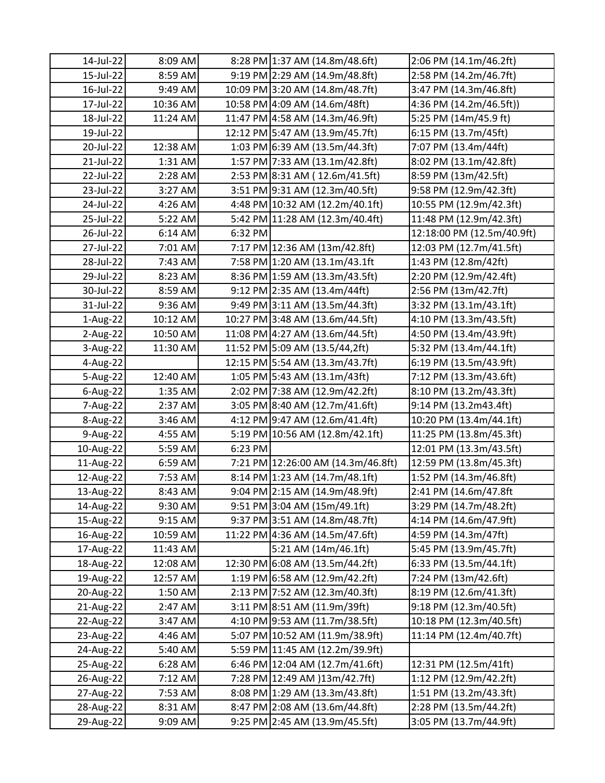| 14-Jul-22   | 8:09 AM  |         | 8:28 PM 1:37 AM (14.8m/48.6ft)     | 2:06 PM (14.1m/46.2ft)     |
|-------------|----------|---------|------------------------------------|----------------------------|
| 15-Jul-22   | 8:59 AM  |         | 9:19 PM 2:29 AM (14.9m/48.8ft)     | 2:58 PM (14.2m/46.7ft)     |
| 16-Jul-22   | 9:49 AM  |         | 10:09 PM 3:20 AM (14.8m/48.7ft)    | 3:47 PM (14.3m/46.8ft)     |
| 17-Jul-22   | 10:36 AM |         | 10:58 PM 4:09 AM (14.6m/48ft)      | 4:36 PM (14.2m/46.5ft))    |
| 18-Jul-22   | 11:24 AM |         | 11:47 PM 4:58 AM (14.3m/46.9ft)    | 5:25 PM (14m/45.9 ft)      |
| 19-Jul-22   |          |         | 12:12 PM 5:47 AM (13.9m/45.7ft)    | 6:15 PM (13.7m/45ft)       |
| 20-Jul-22   | 12:38 AM |         | 1:03 PM 6:39 AM (13.5m/44.3ft)     | 7:07 PM (13.4m/44ft)       |
| 21-Jul-22   | 1:31 AM  |         | 1:57 PM 7:33 AM (13.1m/42.8ft)     | 8:02 PM (13.1m/42.8ft)     |
| 22-Jul-22   | 2:28 AM  |         | 2:53 PM 8:31 AM (12.6m/41.5ft)     | 8:59 PM (13m/42.5ft)       |
| 23-Jul-22   | 3:27 AM  |         | 3:51 PM 9:31 AM (12.3m/40.5ft)     | 9:58 PM (12.9m/42.3ft)     |
| 24-Jul-22   | 4:26 AM  |         | 4:48 PM 10:32 AM (12.2m/40.1ft)    | 10:55 PM (12.9m/42.3ft)    |
| 25-Jul-22   | 5:22 AM  |         | 5:42 PM 11:28 AM (12.3m/40.4ft)    | 11:48 PM (12.9m/42.3ft)    |
| 26-Jul-22   | 6:14 AM  | 6:32 PM |                                    | 12:18:00 PM (12.5m/40.9ft) |
| 27-Jul-22   | 7:01 AM  |         | 7:17 PM 12:36 AM (13m/42.8ft)      | 12:03 PM (12.7m/41.5ft)    |
| 28-Jul-22   | 7:43 AM  |         | 7:58 PM 1:20 AM (13.1m/43.1ft)     | 1:43 PM (12.8m/42ft)       |
| 29-Jul-22   | 8:23 AM  |         | 8:36 PM 1:59 AM (13.3m/43.5ft)     | 2:20 PM (12.9m/42.4ft)     |
| 30-Jul-22   | 8:59 AM  |         | 9:12 PM 2:35 AM (13.4m/44ft)       | 2:56 PM (13m/42.7ft)       |
| 31-Jul-22   | 9:36 AM  |         | 9:49 PM 3:11 AM (13.5m/44.3ft)     | 3:32 PM (13.1m/43.1ft)     |
| 1-Aug-22    | 10:12 AM |         | 10:27 PM 3:48 AM (13.6m/44.5ft)    | 4:10 PM (13.3m/43.5ft)     |
| 2-Aug-22    | 10:50 AM |         | 11:08 PM 4:27 AM (13.6m/44.5ft)    | 4:50 PM (13.4m/43.9ft)     |
| 3-Aug-22    | 11:30 AM |         | 11:52 PM 5:09 AM (13.5/44,2ft)     | 5:32 PM (13.4m/44.1ft)     |
| 4-Aug-22    |          |         | 12:15 PM 5:54 AM (13.3m/43.7ft)    | 6:19 PM (13.5m/43.9ft)     |
| 5-Aug-22    | 12:40 AM |         | 1:05 PM 5:43 AM (13.1m/43ft)       | 7:12 PM (13.3m/43.6ft)     |
| $6$ -Aug-22 | 1:35 AM  |         | 2:02 PM 7:38 AM (12.9m/42.2ft)     | 8:10 PM (13.2m/43.3ft)     |
| 7-Aug-22    | 2:37 AM  |         | 3:05 PM 8:40 AM (12.7m/41.6ft)     | 9:14 PM (13.2m43.4ft)      |
| 8-Aug-22    | 3:46 AM  |         | 4:12 PM 9:47 AM (12.6m/41.4ft)     | 10:20 PM (13.4m/44.1ft)    |
| 9-Aug-22    | 4:55 AM  |         | 5:19 PM 10:56 AM (12.8m/42.1ft)    | 11:25 PM (13.8m/45.3ft)    |
| 10-Aug-22   | 5:59 AM  | 6:23 PM |                                    | 12:01 PM (13.3m/43.5ft)    |
| 11-Aug-22   | 6:59 AM  |         | 7:21 PM 12:26:00 AM (14.3m/46.8ft) | 12:59 PM (13.8m/45.3ft)    |
| 12-Aug-22   | 7:53 AM  |         | 8:14 PM 1:23 AM (14.7m/48.1ft)     | 1:52 PM (14.3m/46.8ft)     |
| 13-Aug-22   | 8:43 AM  |         | 9:04 PM 2:15 AM (14.9m/48.9ft)     | 2:41 PM (14.6m/47.8ft      |
| 14-Aug-22   | 9:30 AM  |         | 9:51 PM 3:04 AM (15m/49.1ft)       | 3:29 PM (14.7m/48.2ft)     |
| 15-Aug-22   | 9:15 AM  |         | 9:37 PM 3:51 AM (14.8m/48.7ft)     | 4:14 PM (14.6m/47.9ft)     |
| 16-Aug-22   | 10:59 AM |         | 11:22 PM 4:36 AM (14.5m/47.6ft)    | 4:59 PM (14.3m/47ft)       |
| 17-Aug-22   | 11:43 AM |         | 5:21 AM (14m/46.1ft)               | 5:45 PM (13.9m/45.7ft)     |
| 18-Aug-22   | 12:08 AM |         | 12:30 PM 6:08 AM (13.5m/44.2ft)    | 6:33 PM (13.5m/44.1ft)     |
| 19-Aug-22   | 12:57 AM |         | 1:19 PM 6:58 AM (12.9m/42.2ft)     | 7:24 PM (13m/42.6ft)       |
| 20-Aug-22   | 1:50 AM  |         | 2:13 PM 7:52 AM (12.3m/40.3ft)     | 8:19 PM (12.6m/41.3ft)     |
| 21-Aug-22   | 2:47 AM  |         | 3:11 PM 8:51 AM (11.9m/39ft)       | 9:18 PM (12.3m/40.5ft)     |
| 22-Aug-22   | 3:47 AM  |         | 4:10 PM 9:53 AM (11.7m/38.5ft)     | 10:18 PM (12.3m/40.5ft)    |
| 23-Aug-22   | 4:46 AM  |         | 5:07 PM 10:52 AM (11.9m/38.9ft)    | 11:14 PM (12.4m/40.7ft)    |
| 24-Aug-22   | 5:40 AM  |         | 5:59 PM 11:45 AM (12.2m/39.9ft)    |                            |
| 25-Aug-22   | 6:28 AM  |         | 6:46 PM 12:04 AM (12.7m/41.6ft)    | 12:31 PM (12.5m/41ft)      |
| 26-Aug-22   | 7:12 AM  |         | 7:28 PM 12:49 AM )13m/42.7ft)      | 1:12 PM (12.9m/42.2ft)     |
| 27-Aug-22   | 7:53 AM  |         | 8:08 PM 1:29 AM (13.3m/43.8ft)     | 1:51 PM (13.2m/43.3ft)     |
| 28-Aug-22   | 8:31 AM  |         | 8:47 PM 2:08 AM (13.6m/44.8ft)     | 2:28 PM (13.5m/44.2ft)     |
| 29-Aug-22   | 9:09 AM  |         | 9:25 PM 2:45 AM (13.9m/45.5ft)     | 3:05 PM (13.7m/44.9ft)     |